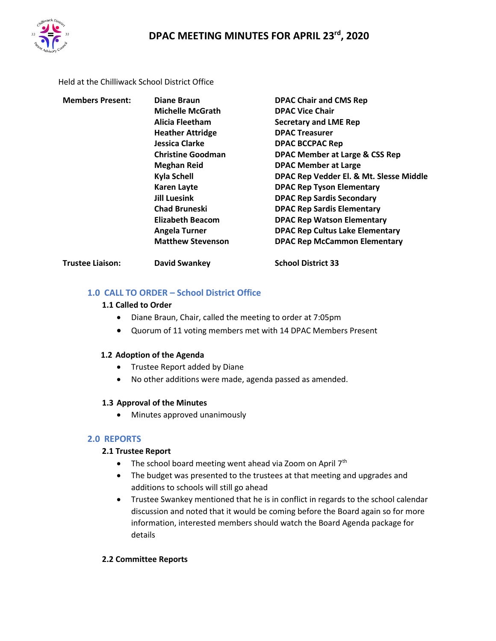

Held at the Chilliwack School District Office

| <b>Members Present:</b> | Diane Braun              | <b>DPAC Chair and CMS Rep</b>                                                                                                                               |  |  |  |  |
|-------------------------|--------------------------|-------------------------------------------------------------------------------------------------------------------------------------------------------------|--|--|--|--|
|                         | <b>Michelle McGrath</b>  | <b>DPAC Vice Chair</b>                                                                                                                                      |  |  |  |  |
|                         | Alicia Fleetham          | <b>Secretary and LME Rep</b><br><b>DPAC Treasurer</b><br><b>DPAC BCCPAC Rep</b><br><b>DPAC Member at Large &amp; CSS Rep</b><br><b>DPAC Member at Large</b> |  |  |  |  |
|                         | <b>Heather Attridge</b>  |                                                                                                                                                             |  |  |  |  |
|                         | Jessica Clarke           |                                                                                                                                                             |  |  |  |  |
|                         | <b>Christine Goodman</b> |                                                                                                                                                             |  |  |  |  |
|                         | <b>Meghan Reid</b>       |                                                                                                                                                             |  |  |  |  |
|                         | Kyla Schell              | DPAC Rep Vedder El. & Mt. Slesse Middle                                                                                                                     |  |  |  |  |
|                         | <b>Karen Layte</b>       | <b>DPAC Rep Tyson Elementary</b>                                                                                                                            |  |  |  |  |
|                         | <b>Jill Luesink</b>      | <b>DPAC Rep Sardis Secondary</b><br><b>DPAC Rep Sardis Elementary</b><br><b>DPAC Rep Watson Elementary</b>                                                  |  |  |  |  |
|                         | <b>Chad Bruneski</b>     |                                                                                                                                                             |  |  |  |  |
|                         | Elizabeth Beacom         |                                                                                                                                                             |  |  |  |  |
|                         | <b>Angela Turner</b>     | <b>DPAC Rep Cultus Lake Elementary</b>                                                                                                                      |  |  |  |  |
|                         | <b>Matthew Stevenson</b> | <b>DPAC Rep McCammon Elementary</b>                                                                                                                         |  |  |  |  |
| <b>Trustee Liaison:</b> | <b>David Swankey</b>     | <b>School District 33</b>                                                                                                                                   |  |  |  |  |

# **1.0 CALL TO ORDER – School District Office**

## **1.1 Called to Order**

- Diane Braun, Chair, called the meeting to order at 7:05pm
- Quorum of 11 voting members met with 14 DPAC Members Present

### **1.2 Adoption of the Agenda**

- Trustee Report added by Diane
- No other additions were made, agenda passed as amended.

### **1.3 Approval of the Minutes**

• Minutes approved unanimously

# **2.0 REPORTS**

# **2.1 Trustee Report**

- The school board meeting went ahead via Zoom on April  $7<sup>th</sup>$
- The budget was presented to the trustees at that meeting and upgrades and additions to schools will still go ahead
- Trustee Swankey mentioned that he is in conflict in regards to the school calendar discussion and noted that it would be coming before the Board again so for more information, interested members should watch the Board Agenda package for details

### **2.2 Committee Reports**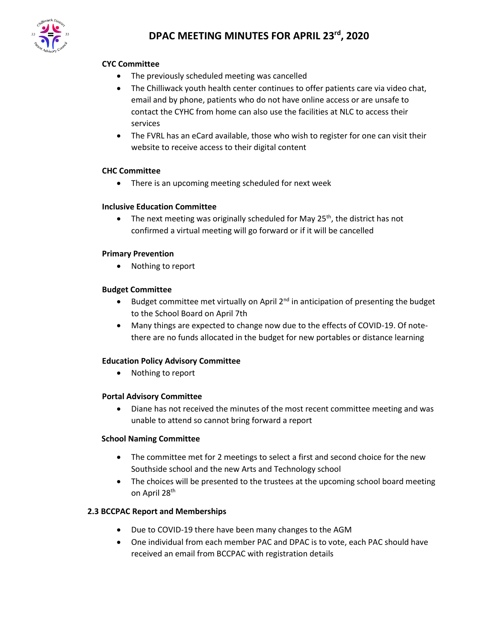

# **DPAC MEETING MINUTES FOR APRIL 23rd, 2020**

## **CYC Committee**

- The previously scheduled meeting was cancelled
- The Chilliwack youth health center continues to offer patients care via video chat, email and by phone, patients who do not have online access or are unsafe to contact the CYHC from home can also use the facilities at NLC to access their services
- The FVRL has an eCard available, those who wish to register for one can visit their website to receive access to their digital content

### **CHC Committee**

• There is an upcoming meeting scheduled for next week

### **Inclusive Education Committee**

• The next meeting was originally scheduled for May  $25<sup>th</sup>$ , the district has not confirmed a virtual meeting will go forward or if it will be cancelled

### **Primary Prevention**

• Nothing to report

### **Budget Committee**

- Budget committee met virtually on April  $2^{nd}$  in anticipation of presenting the budget to the School Board on April 7th
- Many things are expected to change now due to the effects of COVID-19. Of notethere are no funds allocated in the budget for new portables or distance learning

### **Education Policy Advisory Committee**

• Nothing to report

### **Portal Advisory Committee**

• Diane has not received the minutes of the most recent committee meeting and was unable to attend so cannot bring forward a report

### **School Naming Committee**

- The committee met for 2 meetings to select a first and second choice for the new Southside school and the new Arts and Technology school
- The choices will be presented to the trustees at the upcoming school board meeting on April 28<sup>th</sup>

### **2.3 BCCPAC Report and Memberships**

- Due to COVID-19 there have been many changes to the AGM
- One individual from each member PAC and DPAC is to vote, each PAC should have received an email from BCCPAC with registration details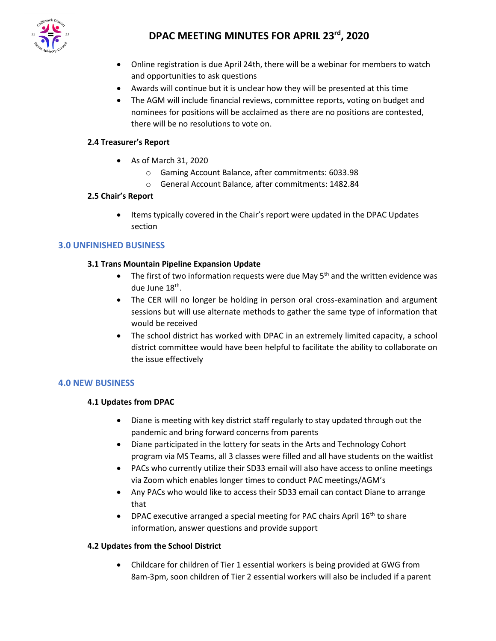

# **DPAC MEETING MINUTES FOR APRIL 23rd, 2020**

- Online registration is due April 24th, there will be a webinar for members to watch and opportunities to ask questions
- Awards will continue but it is unclear how they will be presented at this time
- The AGM will include financial reviews, committee reports, voting on budget and nominees for positions will be acclaimed as there are no positions are contested, there will be no resolutions to vote on.

# **2.4 Treasurer's Report**

- As of March 31, 2020
	- o Gaming Account Balance, after commitments: 6033.98
	- o General Account Balance, after commitments: 1482.84

### **2.5 Chair's Report**

• Items typically covered in the Chair's report were updated in the DPAC Updates section

## **3.0 UNFINISHED BUSINESS**

### **3.1 Trans Mountain Pipeline Expansion Update**

- The first of two information requests were due May  $5<sup>th</sup>$  and the written evidence was due June 18<sup>th</sup>.
- The CER will no longer be holding in person oral cross-examination and argument sessions but will use alternate methods to gather the same type of information that would be received
- The school district has worked with DPAC in an extremely limited capacity, a school district committee would have been helpful to facilitate the ability to collaborate on the issue effectively

### **4.0 NEW BUSINESS**

### **4.1 Updates from DPAC**

- Diane is meeting with key district staff regularly to stay updated through out the pandemic and bring forward concerns from parents
- Diane participated in the lottery for seats in the Arts and Technology Cohort program via MS Teams, all 3 classes were filled and all have students on the waitlist
- PACs who currently utilize their SD33 email will also have access to online meetings via Zoom which enables longer times to conduct PAC meetings/AGM's
- Any PACs who would like to access their SD33 email can contact Diane to arrange that
- DPAC executive arranged a special meeting for PAC chairs April 16<sup>th</sup> to share information, answer questions and provide support

### **4.2 Updates from the School District**

• Childcare for children of Tier 1 essential workers is being provided at GWG from 8am-3pm, soon children of Tier 2 essential workers will also be included if a parent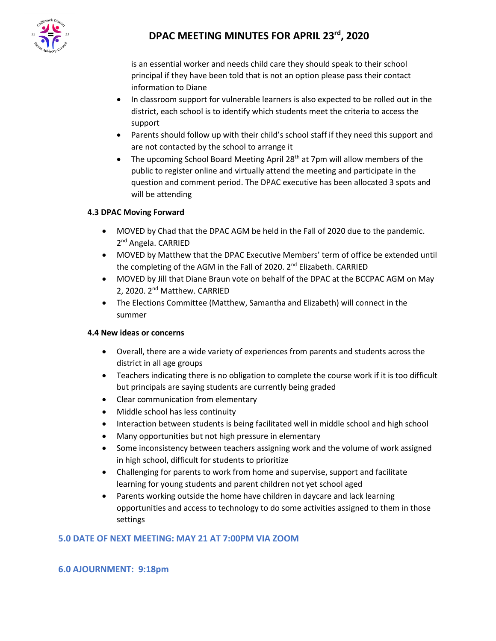

# **DPAC MEETING MINUTES FOR APRIL 23rd, 2020**

is an essential worker and needs child care they should speak to their school principal if they have been told that is not an option please pass their contact information to Diane

- In classroom support for vulnerable learners is also expected to be rolled out in the district, each school is to identify which students meet the criteria to access the support
- Parents should follow up with their child's school staff if they need this support and are not contacted by the school to arrange it
- The upcoming School Board Meeting April 28<sup>th</sup> at 7pm will allow members of the public to register online and virtually attend the meeting and participate in the question and comment period. The DPAC executive has been allocated 3 spots and will be attending

## **4.3 DPAC Moving Forward**

- MOVED by Chad that the DPAC AGM be held in the Fall of 2020 due to the pandemic. 2<sup>nd</sup> Angela. CARRIED
- MOVED by Matthew that the DPAC Executive Members' term of office be extended until the completing of the AGM in the Fall of 2020. 2<sup>nd</sup> Elizabeth. CARRIED
- MOVED by Jill that Diane Braun vote on behalf of the DPAC at the BCCPAC AGM on May 2, 2020. 2<sup>nd</sup> Matthew. CARRIED
- The Elections Committee (Matthew, Samantha and Elizabeth) will connect in the summer

### **4.4 New ideas or concerns**

- Overall, there are a wide variety of experiences from parents and students across the district in all age groups
- Teachers indicating there is no obligation to complete the course work if it is too difficult but principals are saying students are currently being graded
- Clear communication from elementary
- Middle school has less continuity
- Interaction between students is being facilitated well in middle school and high school
- Many opportunities but not high pressure in elementary
- Some inconsistency between teachers assigning work and the volume of work assigned in high school, difficult for students to prioritize
- Challenging for parents to work from home and supervise, support and facilitate learning for young students and parent children not yet school aged
- Parents working outside the home have children in daycare and lack learning opportunities and access to technology to do some activities assigned to them in those settings

# **5.0 DATE OF NEXT MEETING: MAY 21 AT 7:00PM VIA ZOOM**

# **6.0 AJOURNMENT: 9:18pm**